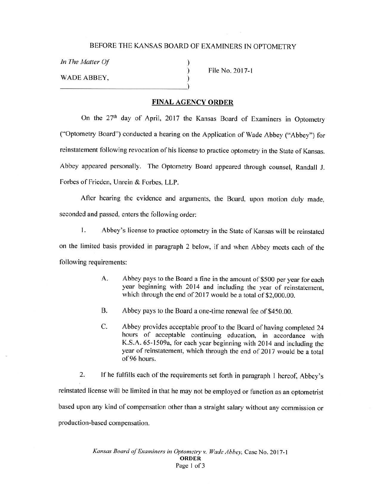) ) )

*In The Matter Of*  WADE ABBEY,  $\begin{pmatrix} 1 & 1 \\ 0 & 1 \end{pmatrix}$ 

File No. 2017-1

## **FINAL AGENCY ORDER**

On the 27<sup>th</sup> day of April, 2017 the Kansas Board of Examiners in Optometry ("Optometry Board") conducted a hearing on the Application of Wade Abbey ("Abbey") for reinstatement following revocation of his license to practice optometry in the State of Kansas. Abbey appeared personally. The Optometry Board appeared through counsel, Randall J. Forbes of Frieden, Unrein & Forbes, LLP.

After hearing the evidence and arguments, the Board, upon motion duly made, seconded and passed, enters the following order:

I. Abbey's license to practice optometry in the State of Kansas will be reinstated on the limited basis provided in paragraph 2 below, if and when Abbey meets each of the following requirements:

- A. Abbey pays to the Board a fine in the amount of \$500 per year for each year beginning with 2014 and including the year of reinstatement, which through the end of 2017 would be a total of \$2,000.00.
- B. Abbey pays to the Board a one-time renewal fee of \$450.00.
- C. Abbey provides acceptable proof to the Board of having completed 24 hours of acceptable continuing education, in accordance with K.S.A. 65-l 509a, for each year beginning with 2014 and including the year of reinstatement, which through the end of 2017 would be a total of 96 hours.

2. If he fulfills each of the requirements set forth in paragraph I hereof, Abbey's reinstated license will be limited in that he may not be employed or function as an optometrist based upon any kind of compensation other than a straight salary without any commission or production-based compensation.

> *Kansas Board of Examiners in Optometry v. Wade Abbey,* Case No. 2017-1 **ORDER**  Page 1 of 3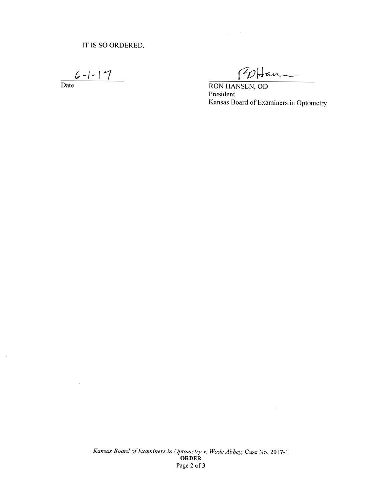**C,-f-lt** 

Date

 $\widetilde{\Sigma}$ 

 $\sim$ 

POHan

RON HANSEN, OD President Kansas Board of Examiners in Optometry

ί¥,